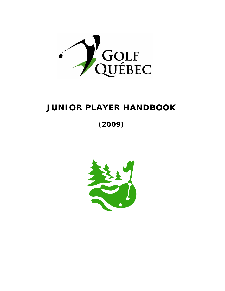

# **JUNIOR PLAYER HANDBOOK**

**(2009)** 

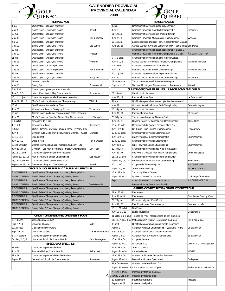

### **CALENDRIER PROVINCIAL PROVINCIAL CALENDAR**

**2009**



| <b>HOMMES / MEN</b>                            |                                                               |                    | <b>FEMMES / LADIES</b> |                                                                  |                            |
|------------------------------------------------|---------------------------------------------------------------|--------------------|------------------------|------------------------------------------------------------------|----------------------------|
| 4 mai                                          | Qualification - Omnium printanier                             |                    | 9 Juin                 | Championnat provincial quatre balles féminin                     |                            |
| May 4                                          | Spring Open - Qualify ing Round                               | Dory al            | June 9                 | Women's Provincial Four-Ball Championship                        | Pinegrove                  |
| 19 mai                                         | Qualification - Omnium printanier                             |                    | 11, 12 juin            | Championnat provincial mid-amateur féminin                       |                            |
| May 19                                         | Spring Open - Qualifying Round                                | Roy al Québec      | June 11, 12            | Women's Provincial Mid-Amateur Championship                      | Whitlock                   |
| mai 20                                         | Qualification - Omnium printanier                             |                    | 15, 16 juin            | Essais d'équipes interprov. am. et sénior féminin Garaga         |                            |
| May 20                                         | Spring Open - Qualifying Round                                | Les Dunes          | June 15, 16            | Garaga Women's Am.and Senior Inter-Prov. Teams Trials Les Dunes  |                            |
| 20 mai                                         | Qualification - Omnium printanier                             |                    |                        | Championnat provincial quatre balles féminin classe B            |                            |
|                                                |                                                               |                    |                        |                                                                  |                            |
| May 20<br>21 mai                               | Spring Open - Qualifying Round                                | Prescott           |                        | Women's Provincial Four-Ball Championship B Class                | À CONFIRMER TBA            |
|                                                | Qualification - Omnium printanier                             |                    | 6, 7, 8 juillet        | Championnat provincial amateur féminin Garaga                    |                            |
| May 21                                         | Spring Open - Qualifying Round                                | lle Perrot         | July 6, 7, 8           | Garaga Women's Provincial Amateur Championship                   | Vallée du Richelieu        |
| 25 mai                                         | Qualification - Omnium printanier                             |                    | 7, 8 juillet           | Championnat provincial sénior féminin                            |                            |
| May 25                                         | Spring Open - Qualify ing Round                               | Roy al Bromont     | July 7, 8              | Women's Provincial Senior Championship                           | Vallée du Richelieu        |
| 26 mai                                         | Qualification - Omnium printanier                             |                    | 20, 21 juillet         | Championnat provincial partie par trous féminin                  |                            |
| May 26                                         | Spring Open - Qualifying Round                                | Valley field       | July 20, 21            | Women's Provincial Match Play Championship                       | Mount Bruno                |
| 29 mai                                         | Omnium printanier                                             |                    | 13 septembre           | Tournoi commémoratif Suzanne Beauregard                          |                            |
| May 29                                         | Spring Open                                                   | Beaconsfield       | Septembre 13           | Suzanne Beauregard Commemorative Tournament                      | Atlantide                  |
| 5, 6, 7 juin                                   | Champ. prov. partie par trous masculin                        |                    |                        | JUNIOR GARÇONS ET FILLES / JUNIOR BOYS AND GIRLS                 |                            |
| June 5, 6, 7                                   | Men's Prov. Match Play Championship                           | Summerlea          | 23, 24 mai             | Circuit prov incial junior                                       |                            |
| 10, 11, 12 juin                                | Championnat provincial mid-amateur masculin                   |                    | May 23, 24             | Provincial Junior Tour                                           | Le Drummond                |
| June 10, 11, 12                                | Men's Provincial Mid-Amateur Championship                     | <b>Whitlock</b>    | 31 mai                 | Qualification pour championnat optimiste internationnal          |                            |
| 15 juin                                        | Qualification - Alex andre de Tunis                           |                    | May 31                 | Optimist International Junior Golf Championship                  | Deux-Montagnes             |
| June 15                                        | Alex ander of Tunis - Qualifying Round                        | Tecumseh           | 13, 14 juin            | Circuit provincial junior                                        |                            |
| 15 juin                                        | Champ. prov. partie par coups à quatre balles masculin        |                    | June 13, 14            | Prov incial Junior Tour                                          | St-Césaire                 |
| June 15                                        | Men's Provincial Four-Ball Stroke Play Championship           | Le Champêtre       | 29, 30 juin            | Tournoi invitation junior Graham Cooke                           |                            |
| 5, 6 juillet                                   | Alex andre de Tunis                                           |                    | June 29, 30            | Graham Cooke Invitational junior Championship                    | Owl's Head                 |
| July 5, 6                                      | Alex ander of Tunis                                           | Riv ermead         | 13 au 16 juillet       | Championnat du Québec Premiers élans CN                          |                            |
| 8 Juillet                                      | Qualif. - Champ. provincial amateur masc. Cynergy-Etto        |                    | luly 13 to 16          | CN Future Links Québec Championship                              | Rideau View                |
| July 8                                         | Cynergy-Etto Men's Provincial Amateur Champ. - Qualif.        | Glendale           | 19 au 23 juillet       | Championnat provincial junior masculin                           |                            |
| 10, 11 juillet                                 | Duc de Kent                                                   |                    | July 19 to 23          | Boys' Provincial Junior Championship                             | Drummondville              |
| July 10, 11                                    | Duke of Kent                                                  | Roy al Québec      | 20 au 23 juillet       | Championnat prov incial junior féminin                           |                            |
| 28, 29, 30 juillet                             | Champ. provincial amateur masculin Cynergy - Etto             |                    | July 20 to 23          | Girls' Provincial Junior Championship                            | Drummondy ille             |
| July 28, 29, 30                                | Cynergy - Etto Men's Provincial Amateur Championship          | Elm Ridge          | 29, 30 juillet         | Championnat provincial pee-wee & moustique                       |                            |
| 11, 12, 13 août                                |                                                               |                    | July 29, 30            | Pee-Wee & Mosquito Provincial Championship                       |                            |
|                                                | Championnat provincial sénior masculin                        |                    |                        |                                                                  | Deux-Montagnes             |
| August 11, 12, 13                              | Men's Provincial Senior Championship                          | Cap Rouge          | 11, 12, 13 août        | Championnat provincial partie par trous junior                   |                            |
| 18, 19 septembre                               | Championnat des joueurs de tournois                           |                    | August 11, 12, 13      | Provincial Junior Match Play Championship                        | Beaconsfield               |
| September 18, 19                               | Tournament Players' Championship                              | Beloeil            | 20, 21 août            | Coupe de la Fédération junior                                    | À CONFIRMER                |
| CIRCUIT DU GOLFEUR PUBLIC / PUBLIC GOLFER TOUR |                                                               |                    | August 20, 21          | Junior Federation Cup                                            | TO BE CONFIRM              |
| À CONFIRMER                                    | Qualification - Championnat prov. des golfeurs publics        |                    | 16 au 22 août          | Tournoi Québec - Ontario                                         |                            |
|                                                | TO BE CONFIRM Public Golfers' Prov. Champ. - Qualifying Round | Falcon             | August 16 to 22        | Québec - Ontario Tournament                                      | Club de golf Barcov an     |
| À CONFIRMER                                    | Qualification - Championnat prov. des golfeurs publics        |                    | Sept                   | Championat du circuit provincial junior                          | À CONFIRMER TBA            |
|                                                | TO BE CONFIRM Public Golfers' Prov. Champ. - Qualifying Round | Île de Montréal    |                        | Provincial Junior Tour Championship                              |                            |
| À CONFIRMER                                    | Qualification - Championnat prov. des golfeurs publics        |                    |                        | AUTRES COMPÉTITIONS / OTHER COMPETITIONS                         |                            |
| TO BE CONFIRM                                  | Public Golfers' Prov. Champ. - Qualifying Round               |                    | 22 au 26 juin          | East Aurora                                                      |                            |
| À CONFIRMER                                    | Qualification - Championnat prov. des golfeurs publics        |                    | June 22 to 26          | East Aurora                                                      | East Aurora Country Club   |
| TO BE CONFIRM                                  | Public Golfers' Prov. Champ. - Qualifying Round               |                    | 22, 23 juin            | Championnat junior East Coast                                    |                            |
| À CONFIRMER                                    | Qualification - Championnat prov. des golfeurs publics        |                    | lune 22, 23            | East Coast Junior Championship                                   | Bouctouche, NB             |
| TO BE CONFIRM                                  | Public Golfers' Prov. Champ. - Qualifying Round               |                    | 10, 11, 12 juillet     | Défi féminin                                                     |                            |
|                                                |                                                               |                    | July 10, 11, 12        | Ladies invitational                                              | Beaconsfield               |
|                                                | <b>CIRCUIT UNIVERSITAIRE / UNIVERSITY TOUR</b>                |                    | 31 juillet, 1 & 2 août | Trophée de l'Ass. Métropolitaine de golf (hommes)                |                            |
| 12, 13 sept                                    | Classique universitaire                                       |                    |                        | july 31, August 1 &2 Metropolitan GA Trophy Competition (hommes) | Laval-sur-le-Lac           |
| Sept. 12,13                                    | Unversity Classic                                             | Milby              | 08-août                | Qualification pour championnat amateur canadien                  |                            |
| 19, 20 sept.                                   | Classique de l'Université                                     |                    | August 8               | Canadian Amateur Championship - Qualifying Round                 | Le Blainvillier            |
| Sept. 19, 20                                   | University Classic                                            | Ki-8-Eb ou Mémoria | 9 au 13 août           | Championnat canadien amateur masculin                            |                            |
| 2, 3, 4 octobre                                | Championnat provincial universitaire                          |                    | August 9 to 13         | Canadian Men's Amateur Championship                              | Le Blainv illier           |
| October, 2, 3, 4                               | University Provincial Championship                            | Deux-Montagnes     | 10 au 11 août          | Coupe Williamson                                                 |                            |
| SPÉCIAUX / SPECIALS                            |                                                               | August 10 to 11    | Williamson Cup         | Oak Hill CC; Rochester NY                                        |                            |
| 23 juillet<br>Championnat provincial mix te    |                                                               |                    | 24 au 28 août          | Jeux du Canada                                                   |                            |
| July 23                                        | Prov incial Mix ed Championship                               | St-Raphael         | August 24 to 28        | Canada Games                                                     | <b>IPE/PEI</b>             |
| 27 août                                        | Championnat provincial des Générations                        |                    | 17 au 23 août          | Omnium de Montréal Desjardins (hommes)                           |                            |
|                                                |                                                               |                    |                        |                                                                  |                            |
| August 27                                      | Generations' Provincial Championship                          | Rosemère           | August 17 to 23        | Desjardins Montréal Open (men)                                   | St-Raphael                 |
|                                                |                                                               |                    | 31 août au 6 sept.     | Omnium canadien féminin CN                                       |                            |
|                                                |                                                               |                    | August 31 to sept. 6   | CN Canadian Women's Open                                         | Priddis Greens Golf and CC |
|                                                |                                                               |                    | À CONFIRMER            | Phoenix Invitational (hommes)                                    |                            |
|                                                |                                                               |                    | Pas TO BE CONFIRM      | Phoenix Invitational (men)                                       |                            |
|                                                |                                                               |                    | 22 septembre           | International pairs                                              | Hillsdale                  |
|                                                |                                                               |                    | September 22           | International pairs                                              |                            |
|                                                |                                                               |                    |                        |                                                                  |                            |
|                                                |                                                               |                    |                        |                                                                  |                            |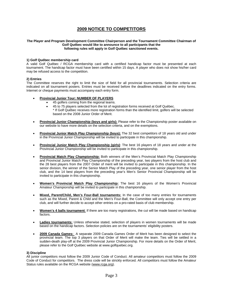### **2009 NOTICE TO COMPETITORS**

#### **The Player and Program Development Committee Chairperson and the Tournament Committee Chairman of Golf Québec would like to announce to all participants that the following rules will apply in Golf Québec sanctioned events.**

#### **1) Golf Québec membership card**

A valid Golf Québec / RCGA membership card with a certified handicap factor must be presented at each tournament. The handicap factor must have been certified within 15 days. A player who does not show his/her card may be refused access to the competition.

#### **2) Entries**

The Committee reserves the right to limit the size of field for all provincial tournaments. Selection criteria are indicated on all tournament posters. Entries must be received before the deadlines indicated on the entry forms. Internet or cheque payments must accompany each entry form.

- **Provincial Junior Tour: NUMBER OF PLAYERS**
	- 45 golfers coming from the regional teams.
		- 45 to 75 players selected from the lot of registration forms received at Golf Québec.
		- \* If Golf Québec receives more registration forms than the identified limit, golfers will be selected based on the 2008 Junior Order of Merit.
- **Provincial Junior Championship (boys and girls):** Please refer to the Championship poster available on our website to have more details on the selection criteria, and on the exemptions.
- **Provincial Junior Match Play Championship (boys):** The 32 best competitors of 18 years old and under in the Provincial Junior Championship will be invited to participate in this championship.
- **Provincial Junior Match Play Championship (girls)**: The best 16 players of 18 years and under at the Provincial Junior Championship will be invited to participate in this championship.
- **Provincial Match Play Championship:** Both winners of the Men's Provincial Match Play Championship and Provincial Junior Match Play Championship of the preceding year, two players from the host club and the 28 best players from the 2007 Order of merit will be invited to participate in this championship. In the senior division, the winner of the Senior Match Play of the preceding year, one senior player from the host club, and the 14 best players from the preceding year's Men's Senior Provincial Championship will be invited to participate in this championship.
- **Women's Provincial Match Play Championship:** The best 16 players of the Women's Provincial Amateur Championship will be invited to participate in this championship.
- **Mixed, Parent/Child, Men's Four-Ball tournaments:** In the case of too many entries for tournaments such as the Mixed, Parent & Child and the Men's Four-Ball, the Committee will only accept one entry per club, and will further decide to accept other entries on a pro-rated basis of club membership.
- **Women's 4 balls tournament**: If there are too many registrations, the cut will be made based on handicap factors.
- **Ladies tournaments:** Unless otherwise stated, selection of players in women tournaments will be made based on the handicap factors. Selection policies are on the tournaments' eligibility posters.
- **2009 Canada Games:** A separate 2009 Canada Games Order of Merit has been designed to select the provincial team. The top 3 players on that Order of Merit will make the team. Ties will be settled in a sudden-death play-off at the 2009 Provincial Junior Championship. For more details on the Order of Merit, please refer to the Golf Québec website at www.golfquebec.org.

#### **3) Discipline**

All junior competitors must follow the 2009 Junior Code of Conduct. All amateur competitors must follow the 2009 Code of Conduct for competitors. The dress code will be strickly enforced. All competitors must follow the Amateur Status rules available on the RCGA website (www.rcga.org).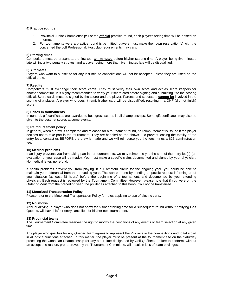#### **4) Practice rounds**

- 1. Provincial Junior Championship: For the **official** practice round, each player's teeing time will be posted on Internet.
- 2. For tournaments were a practice round is permitted, players must make their own reservation(s) with the concerned the golf Professional. Host club requirements may vary.

#### **5) Starting times**

Competitors must be present at the first tee, **ten minutes** before his/her starting time. A player being five minutes late will incur two penalty strokes, and a player being more than five minutes late will be disqualified.

#### **6) Alternates**

Players who want to substitute for any last minute cancellations will not be accepted unless they are listed on the official draw.

#### **7) Results**

Competitors must exchange their score cards. They must verify their own score and act as score keepers for another competitor. It is highly recommended to verify your score card before signing and submitting it to the scoring official. Score cards must be signed by the scorer and the player. Parents and spectators **cannot be** involved in the scoring of a player. A player who doesn't remit his/her card will be disqualified, resulting in a DNF (did not finish) score.

#### **8) Prizes in tournaments**

In general, gift certificates are awarded to best gross scores in all championships. Some gift certificates may also be given to the best net scores at some events.

#### **9) Reimbursement policy**

In general, when a draw is completed and released for a tournament round, no reimbursement is issued if the player decides not to take part in the tournament. They are handled as "no shows". To prevent loosing the totality of the entry fees, contact us BEFORE the draw is made and we will reimburse you the fees minus a \$25 administration fee.

#### **10) Medical problems**

If an injury prevents you from taking part in our tournaments, we may reimburse you the sum of the entry fee(s) (an evaluation of your case will be made). You must make a specific claim, documented and signed by your physician. No medical letter, no refund.

If health problems prevent you from playing in our amateur circuit for the ongoing year, you could be able to maintain your differential from the preceding year. This can be done by sending a specific request informing us of your situation (at least 48 hours) before the beginning of a tournament, and documented by your attending physician. Each request is reviewed by the Tournament Committee. However, please note that if you were on the Order of Merit from the preceding year, the privileges attached to this honour will not be transferred.

#### **11) Motorized Transportation Policy**

Please refer to the Motorized Transportation Policy for rules applying to use of electric carts.

#### **12) No shows**

After qualifying, a player who does not show for his/her starting time for a subsequent round without notifying Golf Québec, will have his/her entry cancelled for his/her next tournament.

#### **13) Provincial teams**

The Tournament Committee reserves the right to modify the conditions of any events or team selection at any given time.

Any player who qualifies for any Québec team agrees to represent the Province in the competitions and to take part in all official functions attached. In this matter, the player must be present at the tournament site on the Saturday preceding the Canadian Championship (or any other time designated by Golf Québec). Failure to conform, without an acceptable reason, pre-approved by the Tournament Committee, will result in loss of team privileges.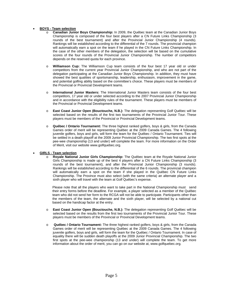#### • **BOYS - Team selection**

- o **Canadian Junior Boys Championship:** In 2009, the Québec team at the Canadian Junior Boys Championship is composed of the four best players after a CN Future Links Championship (3 rounds of the best tournament) and after the Provincial Junior Championship (4 rounds). Rankings will be established according to the differential of the 7 rounds. The provincial champion will automatically earn a spot on the team if he played in the CN Future Links Championship. In the case of the other members of the delegation, the selection will be based on the cumulative scores of the four rounds of the Provincial Junior Championship. The number of competitors depends on the reserved quota for each province.
- o **Williamson Cup:** The Williamson Cup team consists of the four best 17 year old or under competitors from the current year Provincial Junior Championship, and who are not part of the delegation participating at the Canadian Junior Boys Championship. In addition, they must have showed the best qualities of sportsmanship, leadership, enthusiasm, improvement in the game, and potential golfing ability based on the committee's choice. These players must be members of the Provincial or Provincial Development teams.
- o **International Junior Masters:** The International Junior Masters team consists of the four best competitors, 17 year old or under selected according to the 2007 Provincial Junior Championship and in accordance with the eligibility rules of the tournament. These players must be members of the Provincial or Provincial Development teams.
- o **East Coast Junior Open (Bouctouche, N.B.):** The delegation representing Golf Québec will be selected based on the results of the first two tournaments of the Provincial Junior Tour. These players must be members of the Provincial or Provincial Development teams.
- o **Québec / Ontario Tournament:** The three highest ranked golfers, boys & girls, from the Canada Games order of merit will be representing Québec at the 2009 Canada Games. The 4 following juvenile golfers, boys and girls, will form the team for the Québec / Ontario Tournament. Ties will be settled in a death playoff at the 2009 Junior Provincial Championship. The two first spots at the pee-wee championship (13 and under) will complete the team. For more information on the Order of Merit, visit our website www.golfquebec.org.

#### • **GIRLS - Team selection**

Royale National Junior Girls Championship: The Québec team at the Royale National Junior Girls Championship is made up of the best 4 players after a CN Future Links Championship (3 rounds of the best tournament), and after the Provincial Junior Championship (3 rounds). Rankings will be established according to the differential of the 6 rounds. The provincial champion will automatically earn a spot on the team if she played in the Québec CN Future Links Championship. The Province must also select (with the same criteria) an alternate player and a sixth player who will travel with the team at Golf Québec's expense.

Please note that all the players who want to take part in the National Championship must send their entry forms before the deadline. For example, a player selected as a member of the Québec team who did not send her form to the RCGA will not be able to participate. Participants other than the members of the team, the alternate and the sixth player, will be selected by a national cut based on the handicap factor at the entry.

- o **East Coast Junior Open (Bouctouche, N.B.):** The delegation representing Golf Québec will be selected based on the results from the first two tournaments of the Provincial Junior Tour. These players must be members of the Provincial or Provincial Development teams.
- **Québec / Ontario Tournament:** The three highest ranked golfers, boys & girls, from the Canada Games order of merit will be representing Québec at the 2009 Canada Games. The 4 following juvenile golfers, boys and girls, will form the team for the Québec / Ontario Tournament. In case of equality there will be sudden death playoffs at the 2009 Junior Provincial Championship. The two first spots at the pee-wee championship (13 and under) will complete the team. To get more information about the order of merit, you can go on our website at, www.golfquebec.org.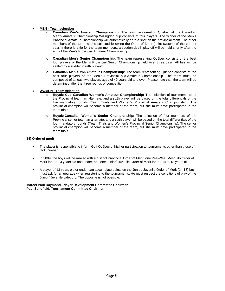### • **MEN - Team selection**

- **Canadian Men's Amateur Championship:** The team representing Québec at the Canadian Men's Amateur Championship Willingdon cup consists of four players. The winner of the Men's Provincial Amateur Championship will automatically earn a spot on the provincial team. The other members of the team will be selected following the Order of Merit (point system) of the current year. If there is a tie for the team members, a sudden death play-off will be held shortly after the end of the Men's Provincial Amateur Championship.
- o **Canadian Men's Senior Championship:** The team representing Québec consists of the best four players of the Men's Provincial Senior Championship held over three days. All ties will be settled by a sudden-death play-off.
- o **Canadian Men's Mid-Amateur Championship:** The team representing Québec consists of the best four players of the Men's Provincial Mid-Amateur Championship. The team must be composed of at least two players aged of 40 years old and over. Please note that, the team will be determined after the three rounds of competition.

#### • **WOMEN - Team selection**

- o **Royale Cup Canadian Women's Amateur Championship:** The selection of four members of the Provincial team, an alternate, and a sixth player will be based on the total differentials of the five mandatory rounds (Team Trials and Women's Provincial Amateur Championship). The provincial champion will become a member of the team, but she must have participated in the team trials.
- o **Royale Canadian Women's Senior Championship:** The selection of four members of the Provincial senior team an alternate, and a sixth player will be based on the total differentials of the four mandatory rounds (Team Trials and Women's Provincial Senior Championship). The senior provincial champion will become a member of the team, but she must have participated in the team trials.

#### **14) Order of merit**

- The player is responsible to inform Golf Québec of his/her participation to tournaments other than those of Golf Québec.
- In 2009, the boys will be ranked with a distinct Provincial Order of Merit: one Pee-Wee/ Mosquito Order of Merit for the 13 years old and under, and one Junior/ Juvenile Order of Merit for the 14 to 18 years old.
- A player of 13 years old or under can accumulate points on the Junior/ Juvenile Order of Merit (14-18) but must ask for an upgrade when registering to the tournaments. He must respect the conditions of play of the Junior/ Juvenile category. The opposite is not possible.

#### **Marcel Paul Raymond, Player Development Committee Chairman Paul Schofield, Tournament Committee Chairman**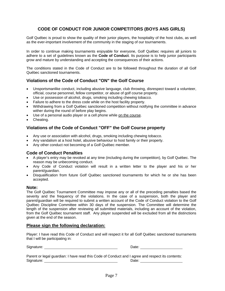### **CODE OF CONDUCT FOR JUNIOR COMPETITORS (BOYS ANS GIRLS)**

Golf Québec is proud to show the quality of their junior players, the hospitality of the host clubs, as well as the ever-important involvement of the community in the staging of our tournaments.

In order to continue making tournaments enjoyable for everyone, Golf Québec requires all juniors to adhere to a set of guidelines known as the **Code of Conduct**. Its purpose is to help junior participants grow and mature by understanding and accepting the consequences of their actions.

The conditions stated in the Code of Conduct are to be followed throughout the duration of all Golf Québec sanctioned tournaments.

### **Violations of the Code of Conduct "ON" the Golf Course**

- Unsportsmanlike conduct, including abusive language, club throwing, disrespect toward a volunteer, official, course personnel, fellow competitor, or abuse of golf course property.
- Use or possession of alcohol, drugs, smoking including chewing tobacco.
- Failure to adhere to the dress code while on the host facility property.
- Withdrawing from a Golf Québec sanctioned competition without notifying the committee in advance wither during the round of before play begins.
- Use of a personal audio player or a cell phone while on the course.
- Cheating.

### **Violations of the Code of Conduct "OFF" the Golf Course property**

- Any use or association with alcohol, drugs, smoking including chewing tobacco.
- Any vandalism at a host hotel, abusive behaviour to host family or their property.
- Any other conduct not becoming of a Golf Québec member.

### **Code of Conduct Penalties**

- A player's entry may be revoked at any time (including during the competition), by Golf Québec. The reason may be unbecoming conduct.
- Any Code of Conduct violation will result in a written letter to the player and his or her parent/guardian.
- Disqualification from future Golf Québec sanctioned tournaments for which he or she has been accepted.

### **Note:**

The Golf Québec Tournament Committee may impose any or all of the preceding penalties based the severity and the frequency of the violations. In the case of a suspension, both the player and parent/guardian will be required to submit a written account of the Code of Conduct violation to the Golf Québec Discipline Committee within 30 days of the suspension. The Committee will determine the length of the suspension after reviewing all submitted materials, including an account of the violation, from the Golf Québec tournament staff. Any player suspended will be excluded from all the distinctions given at the end of the season.

### **Please sign the following declaration:**

Player: I have read this Code of Conduct and will respect it for all Golf Québec sanctioned tournaments that I will be participating in:

Signature:

| Date |  |
|------|--|
|      |  |

Parent or legal guardian: I have read this Code of Conduct and I agree and respect its contents: Signature: Date: Date: Date: Date: Date: Date: Date: Date: Date: Date: Date: Date: Date: Date: Date: Date: Date: Date: Date: Date: Date: Date: Date: Date: Date: Date: Date: Date: Date: Date: Date: Date: Date: Date: Date: D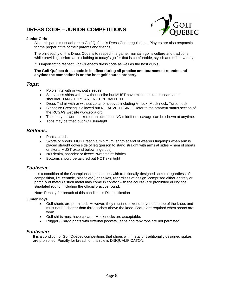## **DRESS CODE – JUNIOR COMPETITIONS**



### **Junior Girls**

All participants must adhere to Golf Québec's Dress Code regulations. Players are also responsible for the proper attire of their parents and friends.

The philosophy of this Dress Code is to respect the game, maintain golf's culture and traditions while providing performance clothing to today's golfer that is comfortable, stylish and offers variety.

It is important to respect Golf Québec's dress code as well as the host club's.

### **The Golf Québec dress code is in effect during all practice and tournament rounds; and anytime the competitor is on the host golf course property.**

### *Tops:*

- Polo shirts with or without sleeves
- Sleeveless shirts with or without collar but MUST have minimum 4 inch seam at the shoulder. TANK TOPS ARE NOT PERMITTED
- Dress T-shirt with or without collar or sleeves including V-neck, Mock neck, Turtle neck
- Signature Cresting is allowed but NO ADVERTISING. Refer to the amateur status section of the RCGA's website www.rcga.org.
- Tops may be worn tucked or untucked but NO midriff or cleavage can be shown at anytime.
- Tops may be fitted but NOT skin-tight

### *Bottoms:*

- Pants, capris
- Skorts or shorts. MUST reach a minimum length at end of wearers fingertips when arm is placed straight down side of leg (person to stand straight with arms at sides – hem of shorts or skorts MUST extend below fingertips)
- NO denim, spandex or fleece "sweatshirt" fabrics
- Bottoms should be tailored but NOT skin tight

### *Footwear:*

It is a condition of the Championship that shoes with traditionally-designed spikes (regardless of composition, i.e. ceramic, plastic etc.) or spikes, regardless of design, comprised either entirely or partially of metal (if such metal may come in contact with the course) are prohibited during the stipulated round, including the official practice round.

Note: Penalty for breach of this condition is Disqualification

### **Junior Boys**

- Golf shorts are permitted. However, they must not extend beyond the top of the knee, and must not be shorter than three inches above the knee. Socks are required when shorts are worn.
- Golf shirts must have collars. Mock necks are acceptable.
- Rugger / Cargo pants with external pockets, jeans and tank tops are not permitted.

### *Footwear***:**

It is a condition of Golf Québec competitions that shoes with metal or traditionally designed spikes are prohibited. Penalty for breach of this rule is DISQUALIFICATON.